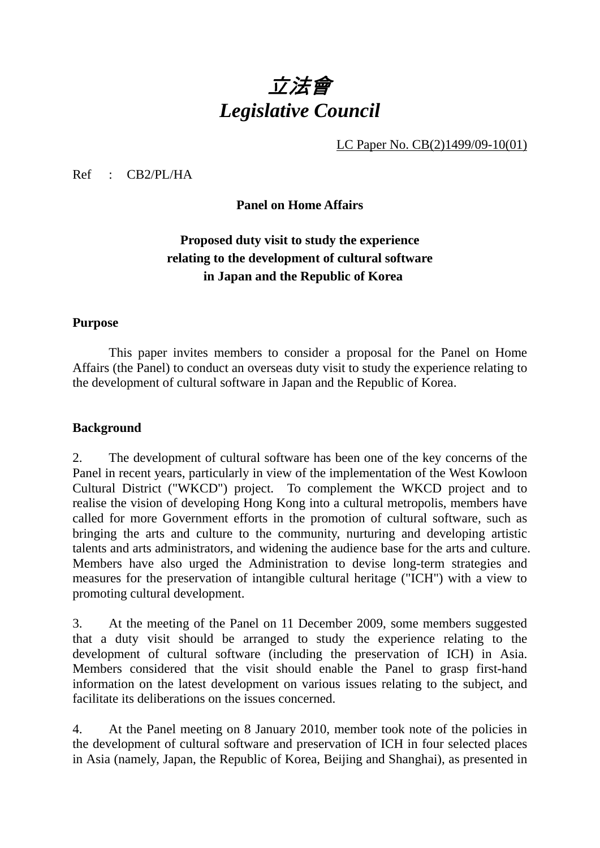# 立法會 *Legislative Council*

LC Paper No. CB(2)1499/09-10(01)

Ref : CB2/PL/HA

# **Panel on Home Affairs**

# **Proposed duty visit to study the experience relating to the development of cultural software in Japan and the Republic of Korea**

#### **Purpose**

 This paper invites members to consider a proposal for the Panel on Home Affairs (the Panel) to conduct an overseas duty visit to study the experience relating to the development of cultural software in Japan and the Republic of Korea.

### **Background**

2. The development of cultural software has been one of the key concerns of the Panel in recent years, particularly in view of the implementation of the West Kowloon Cultural District ("WKCD") project. To complement the WKCD project and to realise the vision of developing Hong Kong into a cultural metropolis, members have called for more Government efforts in the promotion of cultural software, such as bringing the arts and culture to the community, nurturing and developing artistic talents and arts administrators, and widening the audience base for the arts and culture. Members have also urged the Administration to devise long-term strategies and measures for the preservation of intangible cultural heritage ("ICH") with a view to promoting cultural development.

3. At the meeting of the Panel on 11 December 2009, some members suggested that a duty visit should be arranged to study the experience relating to the development of cultural software (including the preservation of ICH) in Asia. Members considered that the visit should enable the Panel to grasp first-hand information on the latest development on various issues relating to the subject, and facilitate its deliberations on the issues concerned.

4. At the Panel meeting on 8 January 2010, member took note of the policies in the development of cultural software and preservation of ICH in four selected places in Asia (namely, Japan, the Republic of Korea, Beijing and Shanghai), as presented in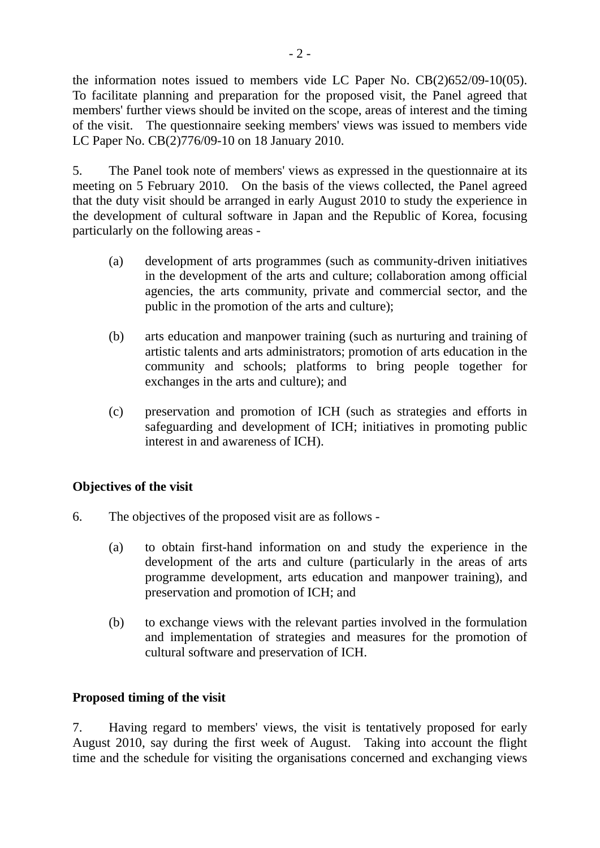the information notes issued to members vide LC Paper No. CB(2)652/09-10(05). To facilitate planning and preparation for the proposed visit, the Panel agreed that members' further views should be invited on the scope, areas of interest and the timing of the visit. The questionnaire seeking members' views was issued to members vide LC Paper No. CB(2)776/09-10 on 18 January 2010.

5. The Panel took note of members' views as expressed in the questionnaire at its meeting on 5 February 2010. On the basis of the views collected, the Panel agreed that the duty visit should be arranged in early August 2010 to study the experience in the development of cultural software in Japan and the Republic of Korea, focusing particularly on the following areas -

- (a) development of arts programmes (such as community-driven initiatives in the development of the arts and culture; collaboration among official agencies, the arts community, private and commercial sector, and the public in the promotion of the arts and culture);
- (b) arts education and manpower training (such as nurturing and training of artistic talents and arts administrators; promotion of arts education in the community and schools; platforms to bring people together for exchanges in the arts and culture); and
- (c) preservation and promotion of ICH (such as strategies and efforts in safeguarding and development of ICH; initiatives in promoting public interest in and awareness of ICH).

# **Objectives of the visit**

- 6. The objectives of the proposed visit are as follows
	- (a) to obtain first-hand information on and study the experience in the development of the arts and culture (particularly in the areas of arts programme development, arts education and manpower training), and preservation and promotion of ICH; and
	- (b) to exchange views with the relevant parties involved in the formulation and implementation of strategies and measures for the promotion of cultural software and preservation of ICH.

# **Proposed timing of the visit**

7. Having regard to members' views, the visit is tentatively proposed for early August 2010, say during the first week of August. Taking into account the flight time and the schedule for visiting the organisations concerned and exchanging views